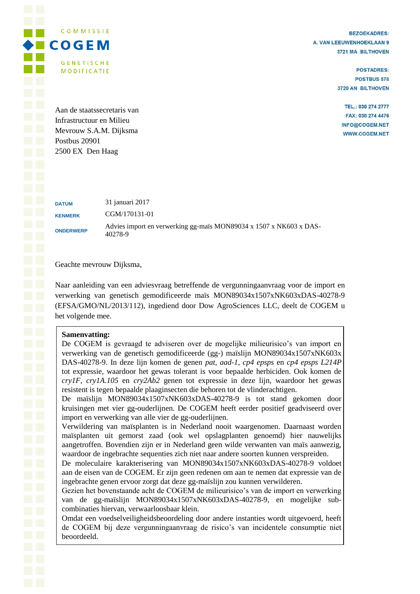COMMISSIE  $\blacktriangleright$   $\blacksquare$   $\subset$   $\lozenge$   $\subset$   $\subset$   $\subset$   $\blacksquare$ **GENETISCHE MODIFICATIE** 

**BEZOEKADRES:** A. VAN LEEUWENHOEKLAAN 9 3721 MA BILTHOVEN

> **POSTADRES: POSTBUS 578** 3720 AN BILTHOVEN

TEL.: 030 274 2777 FAX: 030 274 4476 INFO@COGEM.NET **WWW.COGEM.NET** 

Aan de staatssecretaris van Infrastructuur en Milieu Mevrouw S.A.M. Dijksma Postbus 20901 2500 EX Den Haag

**DATUM** 31 januari 2017 **KENMERK** CGM/170131-01 **ONDERWERP** Advies import en verwerking gg-maïs MON89034 x 1507 x NK603 x DAS-40278-9

Geachte mevrouw Dijksma,

Naar aanleiding van een adviesvraag betreffende de vergunningaanvraag voor de import en verwerking van genetisch gemodificeerde maïs MON89034x1507xNK603xDAS-40278-9 (EFSA/GMO/NL/2013/112), ingediend door Dow AgroSciences LLC, deelt de COGEM u het volgende mee.

# **Samenvatting:**

De COGEM is gevraagd te adviseren over de mogelijke milieurisico's van import en verwerking van de genetisch gemodificeerde (gg-) maïslijn MON89034x1507xNK603x DAS-40278-9. In deze lijn komen de genen *pat*, *aad-1*, *cp4 epsps* en *cp4 epsps L214P* tot expressie, waardoor het gewas tolerant is voor bepaalde herbiciden. Ook komen de *cry1F*, *cry1A.105* en *cry2Ab2* genen tot expressie in deze lijn, waardoor het gewas resistent is tegen bepaalde plaaginsecten die behoren tot de vlinderachtigen.

De maïslijn MON89034x1507xNK603xDAS-40278-9 is tot stand gekomen door kruisingen met vier gg-ouderlijnen. De COGEM heeft eerder positief geadviseerd over import en verwerking van alle vier de gg-ouderlijnen.

Verwildering van maïsplanten is in Nederland nooit waargenomen. Daarnaast worden maïsplanten uit gemorst zaad (ook wel opslagplanten genoemd) hier nauwelijks aangetroffen. Bovendien zijn er in Nederland geen wilde verwanten van maïs aanwezig, waardoor de ingebrachte sequenties zich niet naar andere soorten kunnen verspreiden.

De moleculaire karakterisering van MON89034x1507xNK603xDAS-40278-9 voldoet aan de eisen van de COGEM. Er zijn geen redenen om aan te nemen dat expressie van de ingebrachte genen ervoor zorgt dat deze gg-maïslijn zou kunnen verwilderen.

Gezien het bovenstaande acht de COGEM de milieurisico's van de import en verwerking van de gg-maïslijn MON89034x1507xNK603xDAS-40278-9, en mogelijke subcombinaties hiervan, verwaarloosbaar klein.

Omdat een voedselveiligheidsbeoordeling door andere instanties wordt uitgevoerd, heeft de COGEM bij deze vergunningaanvraag de risico's van incidentele consumptie niet beoordeeld.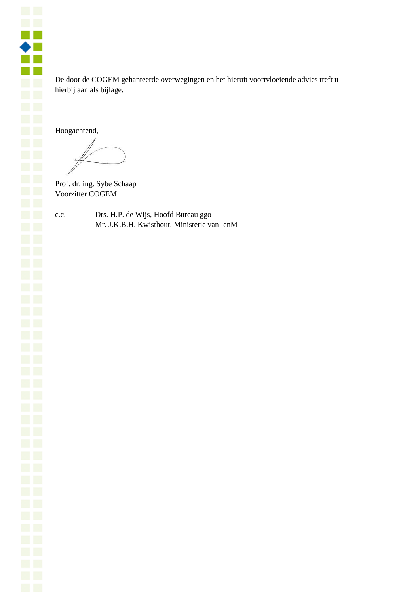

De door de COGEM gehanteerde overwegingen en het hieruit voortvloeiende advies treft u hierbij aan als bijlage.

Hoogachtend,

Prof. dr. ing. Sybe Schaap Voorzitter COGEM

c.c. Drs. H.P. de Wijs, Hoofd Bureau ggo Mr. J.K.B.H. Kwisthout, Ministerie van IenM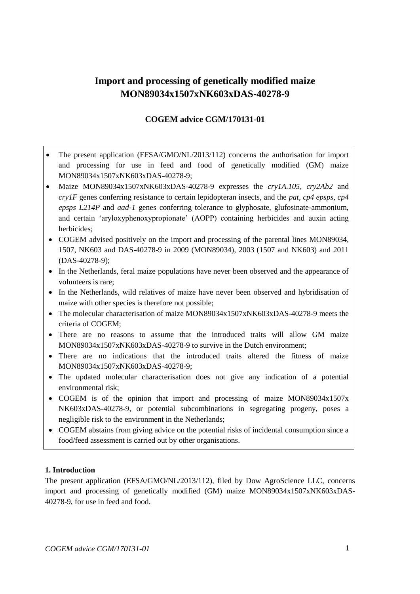# **Import and processing of genetically modified maize MON89034x1507xNK603xDAS-40278-9**

# **COGEM advice CGM/170131-01**

- The present application (EFSA/GMO/NL/2013/112) concerns the authorisation for import and processing for use in feed and food of genetically modified (GM) maize MON89034x1507xNK603xDAS-40278-9;
- Maize MON89034x1507xNK603xDAS-40278-9 expresses the *cry1A.105, cry2Ab2* and *cry1F* genes conferring resistance to certain lepidopteran insects, and the *pat, cp4 epsps, cp4 epsps L214P* and *aad-1* genes conferring tolerance to glyphosate, glufosinate-ammonium, and certain 'aryloxyphenoxypropionate' (AOPP) containing herbicides and auxin acting herbicides;
- COGEM advised positively on the import and processing of the parental lines MON89034, 1507, NK603 and DAS-40278-9 in 2009 (MON89034), 2003 (1507 and NK603) and 2011 (DAS-40278-9);
- In the Netherlands, feral maize populations have never been observed and the appearance of volunteers is rare;
- In the Netherlands, wild relatives of maize have never been observed and hybridisation of maize with other species is therefore not possible;
- The molecular characterisation of maize MON89034x1507xNK603xDAS-40278-9 meets the criteria of COGEM;
- There are no reasons to assume that the introduced traits will allow GM maize MON89034x1507xNK603xDAS-40278-9 to survive in the Dutch environment;
- There are no indications that the introduced traits altered the fitness of maize MON89034x1507xNK603xDAS-40278-9;
- The updated molecular characterisation does not give any indication of a potential environmental risk;
- COGEM is of the opinion that import and processing of maize MON89034x1507x NK603xDAS-40278-9, or potential subcombinations in segregating progeny, poses a negligible risk to the environment in the Netherlands;
- COGEM abstains from giving advice on the potential risks of incidental consumption since a food/feed assessment is carried out by other organisations.

# **1. Introduction**

The present application (EFSA/GMO/NL/2013/112), filed by Dow AgroScience LLC, concerns import and processing of genetically modified (GM) maize MON89034x1507xNK603xDAS-40278-9, for use in feed and food.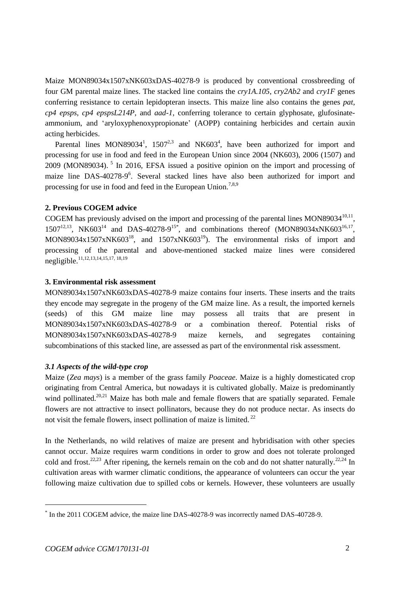Maize MON89034x1507xNK603xDAS-40278-9 is produced by conventional crossbreeding of four GM parental maize lines. The stacked line contains the *cry1A.105*, *cry2Ab2* and *cry1F* genes conferring resistance to certain lepidopteran insects. This maize line also contains the genes *pat*, *cp4 epsps*, *cp4 epspsL214P*, and *aad-1*, conferring tolerance to certain glyphosate, glufosinateammonium, and 'aryloxyphenoxypropionate' (AOPP) containing herbicides and certain auxin acting herbicides.

Parental lines MON89034<sup>1</sup>, 1507<sup>2,3</sup> and NK603<sup>4</sup>, have been authorized for import and processing for use in food and feed in the European Union since 2004 (NK603), 2006 (1507) and 2009 (MON89034). 5 In 2016, EFSA issued a positive opinion on the import and processing of maize line DAS-40278-9<sup>6</sup>. Several stacked lines have also been authorized for import and processing for use in food and feed in the European Union.<sup>7,8,9</sup>

## <span id="page-3-10"></span><span id="page-3-5"></span><span id="page-3-0"></span>**2. Previous COGEM advice**

<span id="page-3-7"></span><span id="page-3-6"></span><span id="page-3-4"></span><span id="page-3-3"></span><span id="page-3-2"></span><span id="page-3-1"></span>COGEM has previously advised on the import and processing of the parental lines  $MON89034^{10,11}$ , 1507<sup>12,13</sup>, NK603<sup>14</sup> and DAS-40278-9<sup>15\*</sup>, and combinations thereof (MON89034xNK603<sup>16,17</sup>, MON89034x1507xNK603<sup>18</sup>, and 1507xNK603<sup>19</sup>). The environmental risks of import and processing of the parental and above-mentioned stacked maize lines were considered negligible.[11,](#page-3-0)[12,](#page-3-1)[13,](#page-3-2)[14,](#page-3-3)[15,](#page-3-4)[17,](#page-3-5) [18,](#page-3-6)[19](#page-3-7)

## **3. Environmental risk assessment**

MON89034x1507xNK603xDAS-40278-9 maize contains four inserts. These inserts and the traits they encode may segregate in the progeny of the GM maize line. As a result, the imported kernels (seeds) of this GM maize line may possess all traits that are present in MON89034x1507xNK603xDAS-40278-9 or a combination thereof. Potential risks of MON89034x1507xNK603xDAS-40278-9 maize kernels, and segregates containing subcombinations of this stacked line, are assessed as part of the environmental risk assessment.

## *3.1 Aspects of the wild-type crop*

<span id="page-3-9"></span>Maize (*Zea mays*) is a member of the grass family *Poaceae*. Maize is a highly domesticated crop originating from Central America, but nowadays it is cultivated globally. Maize is predominantly wind pollinated.<sup>20,21</sup> Maize has both male and female flowers that are spatially separated. Female flowers are not attractive to insect pollinators, because they do not produce nectar. As insects do not visit the female flowers, insect pollination of maize is limited.<sup>22</sup>

<span id="page-3-8"></span>In the Netherlands, no wild relatives of maize are present and hybridisation with other species cannot occur. Maize requires warm conditions in order to grow and does not tolerate prolonged cold and frost.<sup>[22,2](#page-3-8)3</sup> After ripening, the kernels remain on the cob and do not shatter naturally.<sup>[22,](#page-3-8)24</sup> In cultivation areas with warmer climatic conditions, the appearance of volunteers can occur the year following maize cultivation due to spilled cobs or kernels. However, these volunteers are usually

 $\overline{\phantom{a}}$ 

<sup>\*</sup> In the 2011 COGEM advice, the maize line DAS-40278-9 was incorrectly named DAS-40728-9.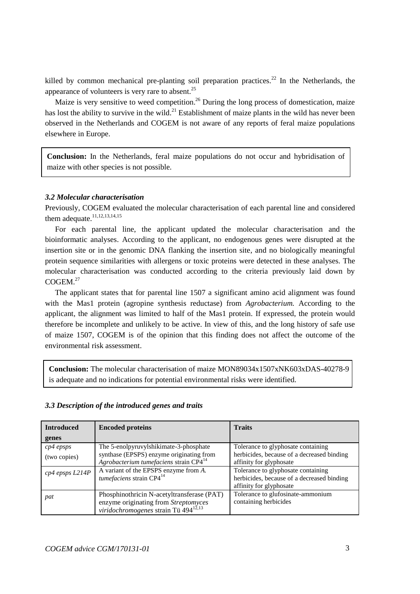killed by common mechanical pre-planting soil preparation practices.<sup>[22](#page-3-8)</sup> In the Netherlands, the appearance of volunteers is very rare to absent. $^{25}$ 

Maize is very sensitive to weed competition.<sup>26</sup> During the long process of domestication, maize has lost the ability to survive in the wild.<sup>[21](#page-3-9)</sup> Establishment of maize plants in the wild has never been observed in the Netherlands and COGEM is not aware of any reports of feral maize populations elsewhere in Europe.

**Conclusion:** In the Netherlands, feral maize populations do not occur and hybridisation of maize with other species is not possible.

## *3.2 Molecular characterisation*

.

Previously, COGEM evaluated the molecular characterisation of each parental line and considered them adequate. $11,12,13,14,15$  $11,12,13,14,15$  $11,12,13,14,15$  $11,12,13,14,15$  $11,12,13,14,15$ 

For each parental line, the applicant updated the molecular characterisation and the bioinformatic analyses. According to the applicant, no endogenous genes were disrupted at the insertion site or in the genomic DNA flanking the insertion site, and no biologically meaningful protein sequence similarities with allergens or toxic proteins were detected in these analyses. The molecular characterisation was conducted according to the criteria previously laid down by COGEM.<sup>27</sup>

The applicant states that for parental line 1507 a significant amino acid alignment was found with the Mas1 protein (agropine synthesis reductase) from *Agrobacterium.* According to the applicant, the alignment was limited to half of the Mas1 protein. If expressed, the protein would therefore be incomplete and unlikely to be active. In view of this, and the long history of safe use of maize 1507, COGEM is of the opinion that this finding does not affect the outcome of the environmental risk assessment.

**Conclusion:** The molecular characterisation of maize MON89034x1507xNK603xDAS-40278-9 is adequate and no indications for potential environmental risks were identified.

| <b>Introduced</b>   | <b>Encoded proteins</b>                                                                     | <b>Traits</b>                              |
|---------------------|---------------------------------------------------------------------------------------------|--------------------------------------------|
| genes               |                                                                                             |                                            |
| $cp4$ epsps         | The 5-enolpyruvylshikimate-3-phosphate                                                      | Tolerance to glyphosate containing         |
| (two copies)        | synthase (EPSPS) enzyme originating from                                                    | herbicides, because of a decreased binding |
|                     | Agrobacterium tumefaciens strain CP4 <sup>14</sup>                                          | affinity for glyphosate                    |
| $cp4$ epsps $L214P$ | A variant of the EPSPS enzyme from $\overline{A}$ .<br>tumefaciens strain CP4 <sup>14</sup> | Tolerance to glyphosate containing         |
|                     |                                                                                             | herbicides, because of a decreased binding |
|                     |                                                                                             | affinity for glyphosate                    |
| pat                 | Phosphinothricin N-acetyltransferase (PAT)                                                  | Tolerance to glufosinate-ammonium          |
|                     | enzyme originating from Streptomyces                                                        | containing herbicides                      |
|                     | viridochromogenes strain Tü 494 <sup>12,13</sup>                                            |                                            |

# *3.3 Description of the introduced genes and traits*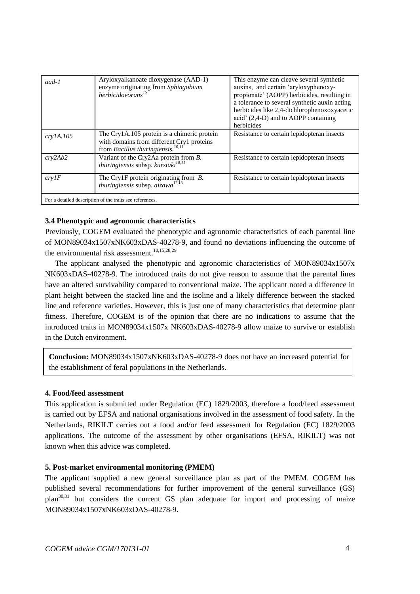| aad-1                                                    | Aryloxyalkanoate dioxygenase (AAD-1)<br>enzyme originating from Sphingobium<br>herbicidovorans <sup>15</sup>                              | This enzyme can cleave several synthetic<br>auxins, and certain 'aryloxyphenoxy-<br>propionate' (AOPP) herbicides, resulting in<br>a tolerance to several synthetic auxin acting<br>herbicides like 2,4-dichlorophenoxoxyacetic<br>acid' (2,4-D) and to AOPP containing<br>herbicides |  |
|----------------------------------------------------------|-------------------------------------------------------------------------------------------------------------------------------------------|---------------------------------------------------------------------------------------------------------------------------------------------------------------------------------------------------------------------------------------------------------------------------------------|--|
| cry1A.105                                                | The Cry1A.105 protein is a chimeric protein<br>with domains from different Cry1 proteins<br>from Bacillus thuringiensis. <sup>10,11</sup> | Resistance to certain lepidopteran insects                                                                                                                                                                                                                                            |  |
| crv2Ab2                                                  | Variant of the Cry2Aa protein from <i>B</i> .<br><i>thuringiensis</i> subsp. $kurstaki^{10,11}$                                           | Resistance to certain lepidopteran insects                                                                                                                                                                                                                                            |  |
| crvIF                                                    | The Cry1F protein originating from <i>B</i> .<br>thuringiensis subsp. $aizawa^{12,13}$                                                    | Resistance to certain lepidopteran insects                                                                                                                                                                                                                                            |  |
| For a detailed description of the traits see references. |                                                                                                                                           |                                                                                                                                                                                                                                                                                       |  |

#### **3.4 Phenotypic and agronomic characteristics**

Previously, COGEM evaluated the phenotypic and agronomic characteristics of each parental line of MON89034x1507xNK603xDAS-40278-9, and found no deviations influencing the outcome of the environmental risk assessment. [10,](#page-3-10)[15,2](#page-3-4)8,29

The applicant analysed the phenotypic and agronomic characteristics of MON89034x1507x NK603xDAS-40278-9. The introduced traits do not give reason to assume that the parental lines have an altered survivability compared to conventional maize. The applicant noted a difference in plant height between the stacked line and the isoline and a likely difference between the stacked line and reference varieties. However, this is just one of many characteristics that determine plant fitness. Therefore, COGEM is of the opinion that there are no indications to assume that the introduced traits in MON89034x1507x NK603xDAS-40278-9 allow maize to survive or establish in the Dutch environment.

**Conclusion:** MON89034x1507xNK603xDAS-40278-9 does not have an increased potential for the establishment of feral populations in the Netherlands.

#### **4. Food/feed assessment**

This application is submitted under Regulation (EC) 1829/2003, therefore a food/feed assessment is carried out by EFSA and national organisations involved in the assessment of food safety. In the Netherlands, RIKILT carries out a food and/or feed assessment for Regulation (EC) 1829/2003 applications. The outcome of the assessment by other organisations (EFSA, RIKILT) was not known when this advice was completed.

#### **5. Post-market environmental monitoring (PMEM)**

The applicant supplied a new general surveillance plan as part of the PMEM. COGEM has published several recommendations for further improvement of the general surveillance (GS)  $plan^{30,31}$  but considers the current GS plan adequate for import and processing of maize MON89034x1507xNK603xDAS-40278-9.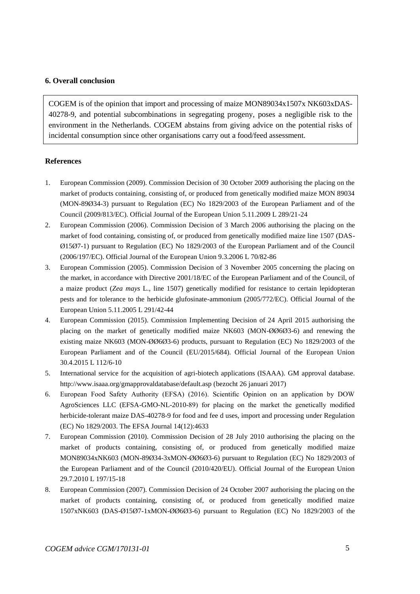#### **6. Overall conclusion**

COGEM is of the opinion that import and processing of maize MON89034x1507x NK603xDAS-40278-9, and potential subcombinations in segregating progeny, poses a negligible risk to the environment in the Netherlands. COGEM abstains from giving advice on the potential risks of incidental consumption since other organisations carry out a food/feed assessment.

#### **References**

- 1. European Commission (2009). Commission Decision of 30 October 2009 authorising the placing on the market of products containing, consisting of, or produced from genetically modified maize MON 89034 (MON-89Ø34-3) pursuant to Regulation (EC) No 1829/2003 of the European Parliament and of the Council (2009/813/EC). Official Journal of the European Union 5.11.2009 L 289/21-24
- 2. European Commission (2006). Commission Decision of 3 March 2006 authorising the placing on the market of food containing, consisting of, or produced from genetically modified maize line 1507 (DAS-Ø15Ø7-1) pursuant to Regulation (EC) No 1829/2003 of the European Parliament and of the Council (2006/197/EC). Official Journal of the European Union 9.3.2006 L 70/82-86
- 3. European Commission (2005). Commission Decision of 3 November 2005 concerning the placing on the market, in accordance with Directive 2001/18/EC of the European Parliament and of the Council, of a maize product (*Zea mays* L., line 1507) genetically modified for resistance to certain lepidopteran pests and for tolerance to the herbicide glufosinate-ammonium (2005/772/EC). Official Journal of the European Union 5.11.2005 L 291/42-44
- 4. European Commission (2015). Commission Implementing Decision of 24 April 2015 authorising the placing on the market of genetically modified maize NK603 (MON-ØØ6Ø3-6) and renewing the existing maize NK603 (MON-ØØ6Ø3-6) products, pursuant to Regulation (EC) No 1829/2003 of the European Parliament and of the Council (EU/2015/684). Official Journal of the European Union 30.4.2015 L 112/6-10
- 5. International service for the acquisition of agri-biotech applications (ISAAA). GM approval database. http://www.isaaa.org/gmapprovaldatabase/default.asp (bezocht 26 januari 2017)
- 6. European Food Safety Authority (EFSA) (2016). Scientific Opinion on an application by DOW AgroSciences LLC (EFSA-GMO-NL-2010-89) for placing on the market the genetically modified herbicide-tolerant maize DAS-40278-9 for food and fee d uses, import and processing under Regulation (EC) No 1829/2003. The EFSA Journal 14(12):4633
- 7. European Commission (2010). Commission Decision of 28 July 2010 authorising the placing on the market of products containing, consisting of, or produced from genetically modified maize MON89034xNK603 (MON-89Ø34-3xMON-ØØ6Ø3-6) pursuant to Regulation (EC) No 1829/2003 of the European Parliament and of the Council (2010/420/EU). Official Journal of the European Union 29.7.2010 L 197/15-18
- 8. European Commission (2007). Commission Decision of 24 October 2007 authorising the placing on the market of products containing, consisting of, or produced from genetically modified maize 1507xNK603 (DAS-Ø15Ø7-1xMON-ØØ6Ø3-6) pursuant to Regulation (EC) No 1829/2003 of the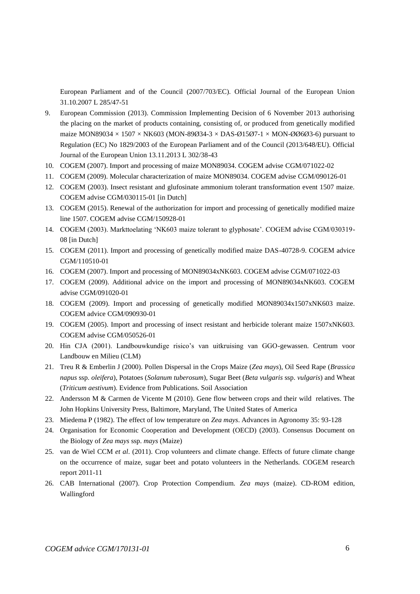European Parliament and of the Council (2007/703/EC). Official Journal of the European Union 31.10.2007 L 285/47-51

- 9. European Commission (2013). Commission Implementing Decision of 6 November 2013 authorising the placing on the market of products containing, consisting of, or produced from genetically modified maize MON89034  $\times$  1507  $\times$  NK603 (MON-89Ø34-3  $\times$  DAS-Ø15Ø7-1  $\times$  MON-ØØ6Ø3-6) pursuant to Regulation (EC) No 1829/2003 of the European Parliament and of the Council (2013/648/EU). Official Journal of the European Union 13.11.2013 L 302/38-43
- 10. COGEM (2007). Import and processing of maize MON89034. COGEM advise CGM/071022-02
- 11. COGEM (2009). Molecular characterization of maize MON89034. COGEM advise CGM/090126-01
- 12. COGEM (2003). Insect resistant and glufosinate ammonium tolerant transformation event 1507 maize. COGEM advise CGM/030115-01 [in Dutch]
- 13. COGEM (2015). Renewal of the authorization for import and processing of genetically modified maize line 1507. COGEM advise CGM/150928-01
- 14. COGEM (2003). Markttoelating 'NK603 maize tolerant to glyphosate'. COGEM advise CGM/030319- 08 [in Dutch]
- 15. COGEM (2011). Import and processing of genetically modified maize DAS-40728-9. COGEM advice CGM/110510-01
- 16. COGEM (2007). Import and processing of MON89034xNK603. COGEM advise CGM/071022-03
- 17. COGEM (2009). Additional advice on the import and processing of MON89034xNK603. COGEM advise CGM/091020-01
- 18. COGEM (2009). Import and processing of genetically modified MON89034x1507xNK603 maize. COGEM advice CGM/090930-01
- 19. COGEM (2005). Import and processing of insect resistant and herbicide tolerant maize 1507xNK603. COGEM advise CGM/050526-01
- 20. Hin CJA (2001). Landbouwkundige risico's van uitkruising van GGO-gewassen. Centrum voor Landbouw en Milieu (CLM)
- 21. Treu R & Emberlin J (2000). Pollen Dispersal in the Crops Maize (*Zea mays*), Oil Seed Rape (*Brassica napus* ssp. *oleifera*), Potatoes (*Solanum tuberosum*), Sugar Beet (*Beta vulgaris* ssp. *vulgaris*) and Wheat (*Triticum aestivum*). Evidence from Publications. Soil Association
- 22. Andersson M & Carmen de Vicente M (2010). Gene flow between crops and their wild relatives. The John Hopkins University Press, Baltimore, Maryland, The United States of America
- 23. Miedema P (1982). The effect of low temperature on *Zea mays*. Advances in Agronomy 35: 93-128
- 24. Organisation for Economic Cooperation and Development (OECD) (2003). Consensus Document on the Biology of *Zea mays* ssp. *mays* (Maize)
- 25. van de Wiel CCM *et al*. (2011). Crop volunteers and climate change. Effects of future climate change on the occurrence of maize, sugar beet and potato volunteers in the Netherlands. COGEM research report 2011-11
- 26. CAB International (2007). Crop Protection Compendium. *Zea mays* (maize). CD-ROM edition, Wallingford